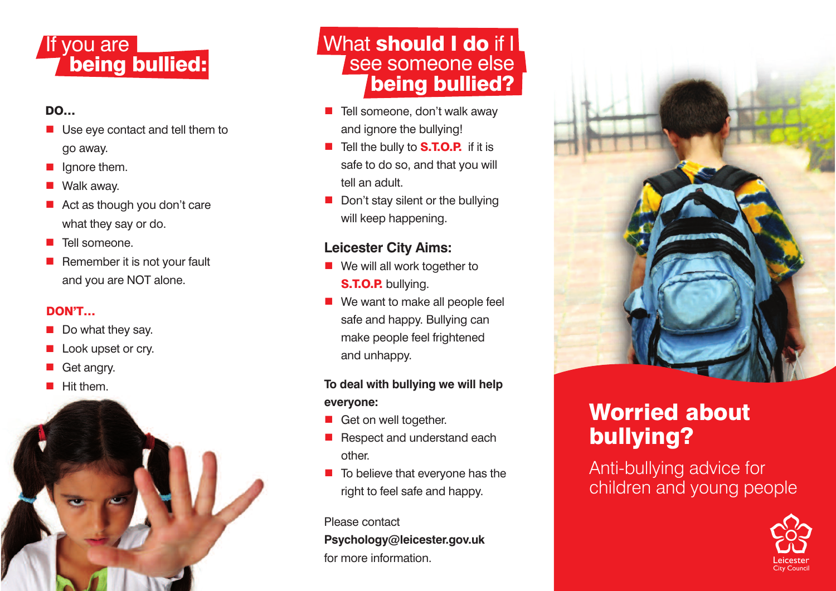## If you are **being bullied:**

#### **D O …**

- Use eye contact and tell them to go away.
- Ignore them.
- Walk away.
- Act as though you don't care what they say or do.
- Tell someone.
- Remember it is not your fault and you are NOT alone.

### **D O N ' T …**

- Do what they say.
- Look upset or cry.
- Get angry.
- Hit them.



## **<u>What <b>should I** do if I</u> <u>se</u>e someone else **being bullied?**

- Tell someone, don't walk away and ignore the bullying!
- Tell the bully to S.T.O.P. if it is safe to do so, and that you will tell an adult.
- Don't stay silent or the bullying will keep happening.

## **Leicester City Aims:**

- We will all work together to **S.T.O.P.** bullying.
- We want to make all people feel safe and happy. Bullying can make people feel frightened and unhappy.

### To deal with bullying we will help **e v e r y o n e :**

- Get on well together.
- Respect and understand each other.
- To believe that everyone has the right to feel safe and happy.

#### Please contact

Psychology@leicester.gov.uk for more information.



# **worried about bullying?**

Anti-bullying advice for children and young people